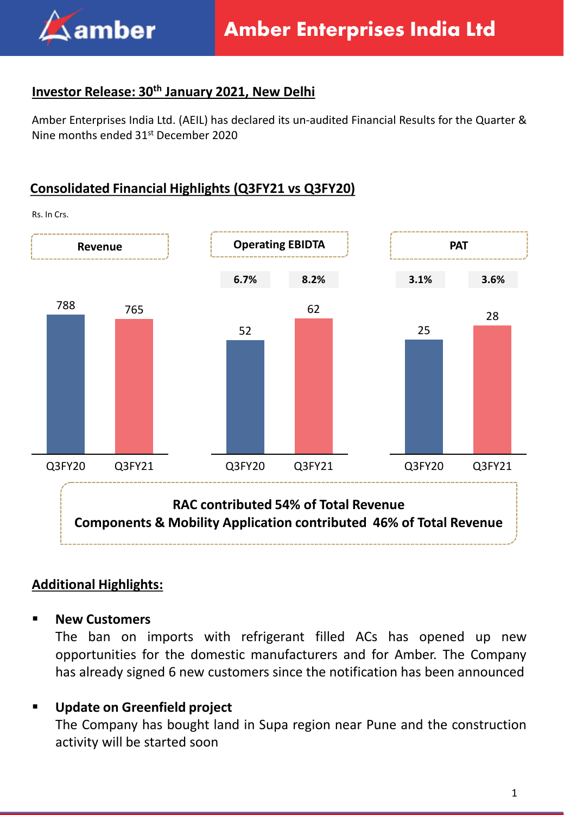

## **Investor Release: 30th January 2021, New Delhi**

Amber Enterprises India Ltd. (AEIL) has declared its un-audited Financial Results for the Quarter & Nine months ended 31<sup>st</sup> December 2020

# **Consolidated Financial Highlights (Q3FY21 vs Q3FY20)**



#### **Additional Highlights:**

▪ **New Customers**

The ban on imports with refrigerant filled ACs has opened up new opportunities for the domestic manufacturers and for Amber. The Company has already signed 6 new customers since the notification has been announced

# ▪ **Update on Greenfield project**

The Company has bought land in Supa region near Pune and the construction activity will be started soon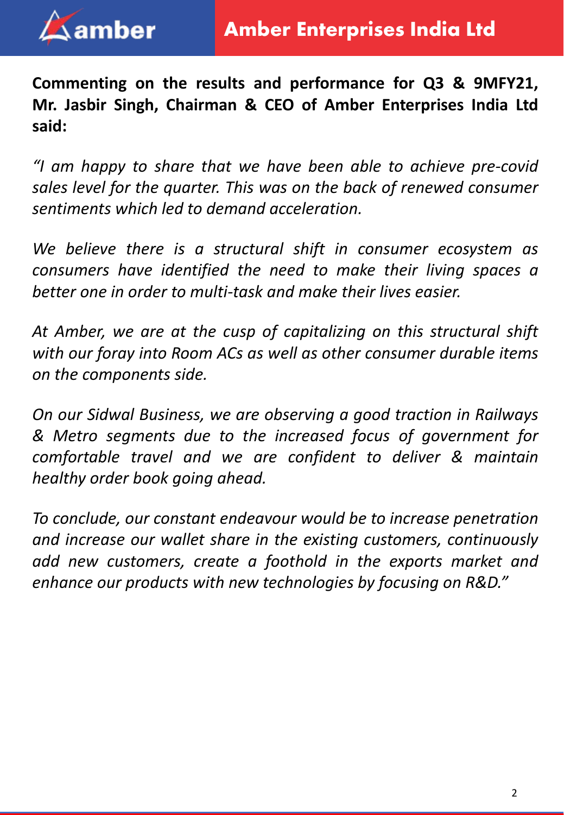

**Commenting on the results and performance for Q3 & 9MFY21, Mr. Jasbir Singh, Chairman & CEO of Amber Enterprises India Ltd said:**

*"I am happy to share that we have been able to achieve pre-covid sales level for the quarter. This was on the back of renewed consumer sentiments which led to demand acceleration.*

*We believe there is a structural shift in consumer ecosystem as consumers have identified the need to make their living spaces a better one in order to multi-task and make their lives easier.*

*At Amber, we are at the cusp of capitalizing on this structural shift with our foray into Room ACs as well as other consumer durable items on the components side.*

*On our Sidwal Business, we are observing a good traction in Railways & Metro segments due to the increased focus of government for comfortable travel and we are confident to deliver & maintain healthy order book going ahead.*

*To conclude, our constant endeavour would be to increase penetration and increase our wallet share in the existing customers, continuously add new customers, create a foothold in the exports market and enhance our products with new technologies by focusing on R&D."*